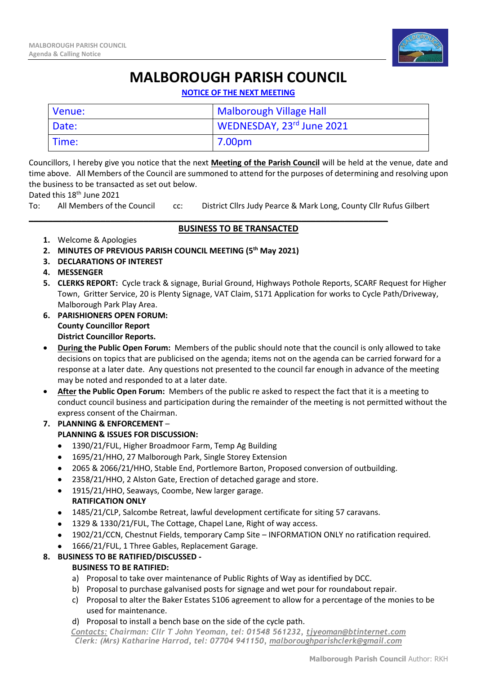

# **MALBOROUGH PARISH COUNCIL**

**NOTICE OF THE NEXT MEETING**

| Venue: | <b>Malborough Village Hall</b> |
|--------|--------------------------------|
| Date:  | WEDNESDAY, 23rd June 2021      |
| Time:  | 7.00pm                         |

Councillors, I hereby give you notice that the next **Meeting of the Parish Council** will be held at the venue, date and time above. All Members of the Council are summoned to attend for the purposes of determining and resolving upon the business to be transacted as set out below.

Dated this 18<sup>th</sup> June 2021

To: All Members of the Council cc: District Cllrs Judy Pearce & Mark Long, County Cllr Rufus Gilbert

#### \_\_\_\_\_\_\_\_\_\_\_\_\_\_\_\_\_\_\_\_\_\_\_\_\_\_\_\_\_\_\_\_\_\_\_\_\_\_\_\_\_\_\_\_\_\_\_\_\_\_\_\_\_\_\_\_\_\_\_\_\_\_\_\_\_\_\_\_\_\_\_\_\_\_\_ **BUSINESS TO BE TRANSACTED**

- **1.** Welcome & Apologies
- **2. MINUTES OF PREVIOUS PARISH COUNCIL MEETING (5 th May 2021)**
- **3. DECLARATIONS OF INTEREST**
- **4. MESSENGER**
- **5. CLERKS REPORT:** Cycle track & signage, Burial Ground, Highways Pothole Reports, SCARF Request for Higher Town, Gritter Service, 20 is Plenty Signage, VAT Claim, S171 Application for works to Cycle Path/Driveway, Malborough Park Play Area.
- **6. PARISHIONERS OPEN FORUM: County Councillor Report District Councillor Reports.**
- **During the Public Open Forum:** Members of the public should note that the council is only allowed to take decisions on topics that are publicised on the agenda; items not on the agenda can be carried forward for a response at a later date. Any questions not presented to the council far enough in advance of the meeting may be noted and responded to at a later date.
- **After the Public Open Forum:** Members of the public re asked to respect the fact that it is a meeting to conduct council business and participation during the remainder of the meeting is not permitted without the express consent of the Chairman.
- **7. PLANNING & ENFORCEMENT** –

## **PLANNING & ISSUES FOR DISCUSSION:**

- 1390/21/FUL, Higher Broadmoor Farm, Temp Ag Building
- 1695/21/HHO, 27 Malborough Park, Single Storey Extension
- 2065 & 2066/21/HHO, Stable End, Portlemore Barton, Proposed conversion of outbuilding.
- 2358/21/HHO, 2 Alston Gate, Erection of detached garage and store.
- 1915/21/HHO, Seaways, Coombe, New larger garage. **RATIFICATION ONLY**
- 1485/21/CLP, Salcombe Retreat, lawful development certificate for siting 57 caravans.
- 1329 & 1330/21/FUL, The Cottage, Chapel Lane, Right of way access.
- 1902/21/CCN, Chestnut Fields, temporary Camp Site INFORMATION ONLY no ratification required.
- 1666/21/FUL, 1 Three Gables, Replacement Garage.

### **8. BUSINESS TO BE RATIFIED/DISCUSSED -**

### **BUSINESS TO BE RATIFIED:**

- a) Proposal to take over maintenance of Public Rights of Way as identified by DCC.
- b) Proposal to purchase galvanised posts for signage and wet pour for roundabout repair.
- c) Proposal to alter the Baker Estates S106 agreement to allow for a percentage of the monies to be used for maintenance.
- d) Proposal to install a bench base on the side of the cycle path.

*Contacts: Chairman: Cllr T John Yeoman, tel: 01548 561232, [tjyeoman@btinternet.com](mailto:tjyeoman@btinternet.com) Clerk: (Mrs) Katharine Harrod, tel: 07704 941150, [malboroughparishclerk@gmail.com](mailto:malboroughparishclerk@gmail.com)*